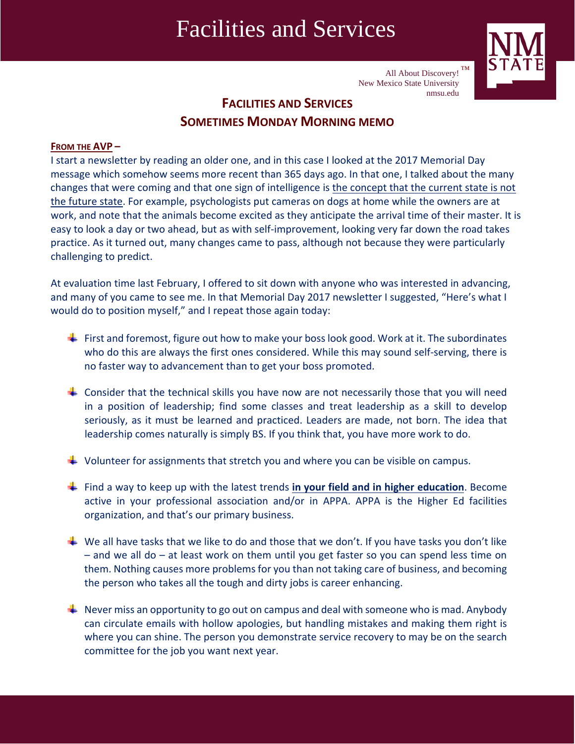## Facilities and Services



All About Discovery!  $TM$ New Mexico State University nmsu.edu

## **FACILITIES AND SERVICES SOMETIMES MONDAY MORNING MEMO**

## **FROM THE AVP –**

I start a newsletter by reading an older one, and in this case I looked at the 2017 Memorial Day message which somehow seems more recent than 365 days ago. In that one, I talked about the many changes that were coming and that one sign of intelligence is the concept that the current state is not the future state. For example, psychologists put cameras on dogs at home while the owners are at work, and note that the animals become excited as they anticipate the arrival time of their master. It is easy to look a day or two ahead, but as with self‐improvement, looking very far down the road takes practice. As it turned out, many changes came to pass, although not because they were particularly challenging to predict.

At evaluation time last February, I offered to sit down with anyone who was interested in advancing, and many of you came to see me. In that Memorial Day 2017 newsletter I suggested, "Here's what I would do to position myself," and I repeat those again today:

- First and foremost, figure out how to make your boss look good. Work at it. The subordinates who do this are always the first ones considered. While this may sound self-serving, there is no faster way to advancement than to get your boss promoted.
- $\ddot{+}$  Consider that the technical skills you have now are not necessarily those that you will need in a position of leadership; find some classes and treat leadership as a skill to develop seriously, as it must be learned and practiced. Leaders are made, not born. The idea that leadership comes naturally is simply BS. If you think that, you have more work to do.
- $\ddot{\phantom{1}}$  Volunteer for assignments that stretch you and where you can be visible on campus.
- Find a way to keep up with the latest trends **in your field and in higher education**. Become active in your professional association and/or in APPA. APPA is the Higher Ed facilities organization, and that's our primary business.
- $\ddotplus$  We all have tasks that we like to do and those that we don't. If you have tasks you don't like – and we all do – at least work on them until you get faster so you can spend less time on them. Nothing causes more problems for you than not taking care of business, and becoming the person who takes all the tough and dirty jobs is career enhancing.
- $\perp$  Never miss an opportunity to go out on campus and deal with someone who is mad. Anybody can circulate emails with hollow apologies, but handling mistakes and making them right is where you can shine. The person you demonstrate service recovery to may be on the search committee for the job you want next year.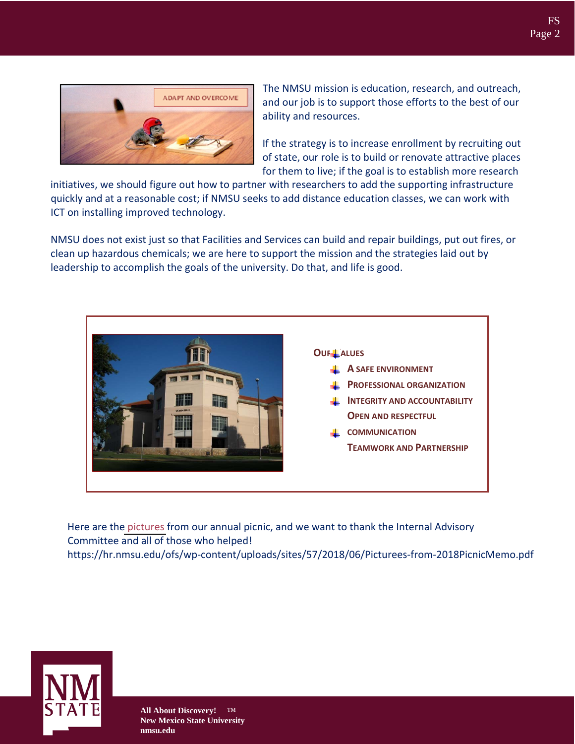

The NMSU mission is education, research, and outreach, and our job is to support those efforts to the best of our ability and resources.

If the strategy is to increase enrollment by recruiting out of state, our role is to build or renovate attractive places for them to live; if the goal is to establish more research

initiatives, we should figure out how to partner with researchers to add the supporting infrastructure quickly and at a reasonable cost; if NMSU seeks to add distance education classes, we can work with ICT on installing improved technology.

NMSU does not exist just so that Facilities and Services can build and repair buildings, put out fires, or clean up hazardous chemicals; we are here to support the mission and the strategies laid out by leadership to accomplish the goals of the university. Do that, and life is good.



Here are the [pictures](https://hr.nmsu.edu/ofs/wp-content/uploads/sites/57/2018/06/Picturees-from-2018PicnicMemo.pdf) from our annual picnic, and we want to thank the Internal Advisory Committee and all of those who helped! https://hr.nmsu.edu/ofs/wp-content/uploads/sites/57/2018/06/Picturees-from-2018PicnicMemo.pdf



**All About Discovery!** ™ **New Mexico State University nmsu.edu**